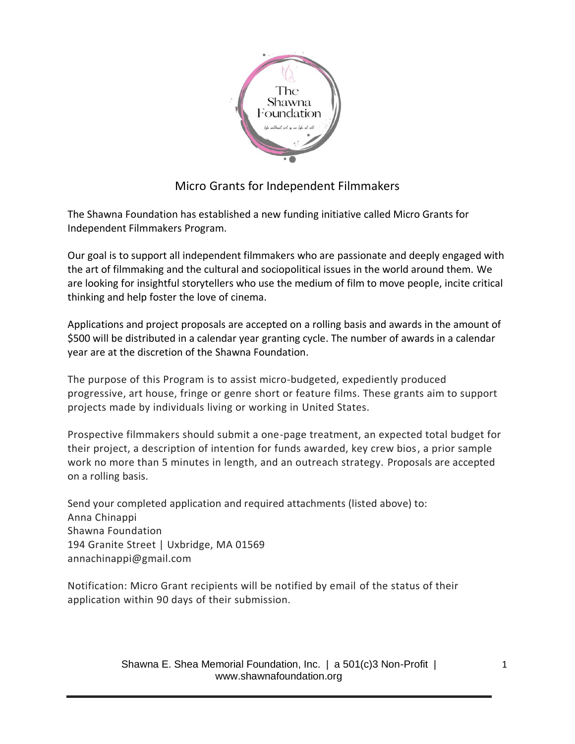

## Micro Grants for Independent Filmmakers

The Shawna Foundation has established a new funding initiative called Micro Grants for Independent Filmmakers Program.

Our goal is to support all independent filmmakers who are passionate and deeply engaged with the art of filmmaking and the cultural and sociopolitical issues in the world around them. We are looking for insightful storytellers who use the medium of film to move people, incite critical thinking and help foster the love of cinema.

Applications and project proposals are accepted on a rolling basis and awards in the amount of \$500 will be distributed in a calendar year granting cycle. The number of awards in a calendar year are at the discretion of the Shawna Foundation.

The purpose of this Program is to assist micro-budgeted, expediently produced progressive, art house, fringe or genre short or feature films. These grants aim to support projects made by individuals living or working in United States.

Prospective filmmakers should submit a one-page treatment, an expected total budget for their project, a description of intention for funds awarded, key crew bios, a prior sample work no more than 5 minutes in length, and an outreach strategy. Proposals are accepted on a rolling basis.

Send your completed application and required attachments (listed above) to: Anna Chinappi Shawna Foundation 194 Granite Street | Uxbridge, MA 01569 annachinappi@gmail.com

Notification: Micro Grant recipients will be notified by email of the status of their application within 90 days of their submission.

> Shawna E. Shea Memorial Foundation, Inc. | a 501(c)3 Non-Profit | www.shawnafoundation.org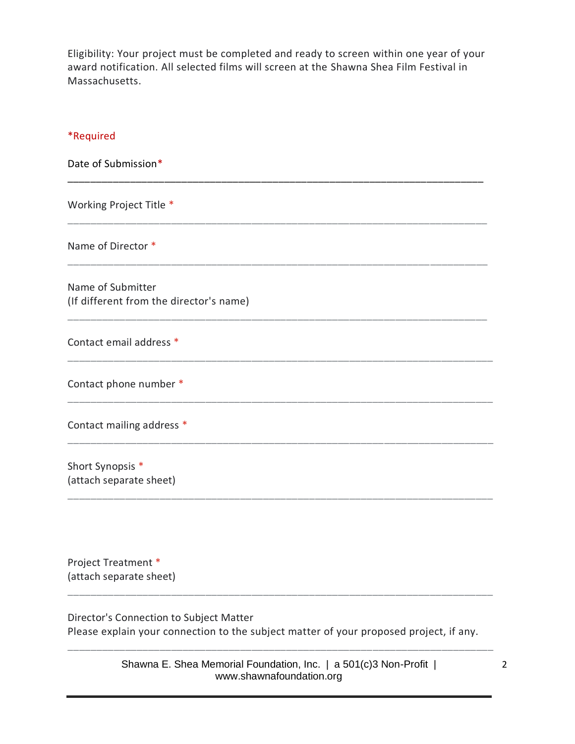Eligibility: Your project must be completed and ready to screen within one year of your award notification. All selected films will screen at the Shawna Shea Film Festival in Massachusetts.

## \*Required

Date of Submission\* \_\_\_\_\_\_\_\_\_\_\_\_\_\_\_\_\_\_\_\_\_\_\_\_\_\_\_\_\_\_\_\_\_\_\_\_\_\_\_\_\_\_\_\_\_\_\_\_\_\_\_\_\_\_\_\_\_\_\_\_\_\_\_\_\_\_\_\_\_\_\_\_\_ Working Project Title \* \_\_\_\_\_\_\_\_\_\_\_\_\_\_\_\_\_\_\_\_\_\_\_\_\_\_\_\_\_\_\_\_\_\_\_\_\_\_\_\_\_\_\_\_\_\_\_\_\_\_\_\_\_\_\_\_\_\_\_\_\_\_\_\_\_\_\_\_\_\_\_\_\_ Name of Director \* \_\_\_\_\_\_\_\_\_\_\_\_\_\_\_\_\_\_\_\_\_\_\_\_\_\_\_\_\_\_\_\_\_\_\_\_\_\_\_\_\_\_\_\_\_\_\_\_\_\_\_\_\_\_\_\_\_\_\_\_\_\_\_\_\_\_\_\_\_\_\_\_\_ Name of Submitter (If different from the director's name) \_\_\_\_\_\_\_\_\_\_\_\_\_\_\_\_\_\_\_\_\_\_\_\_\_\_\_\_\_\_\_\_\_\_\_\_\_\_\_\_\_\_\_\_\_\_\_\_\_\_\_\_\_\_\_\_\_\_\_\_\_\_\_\_\_\_\_\_\_\_\_\_\_ Contact email address \* \_\_\_\_\_\_\_\_\_\_\_\_\_\_\_\_\_\_\_\_\_\_\_\_\_\_\_\_\_\_\_\_\_\_\_\_\_\_\_\_\_\_\_\_\_\_\_\_\_\_\_\_\_\_\_\_\_\_\_\_\_\_\_\_\_\_\_\_\_\_\_\_\_\_ Contact phone number \* \_\_\_\_\_\_\_\_\_\_\_\_\_\_\_\_\_\_\_\_\_\_\_\_\_\_\_\_\_\_\_\_\_\_\_\_\_\_\_\_\_\_\_\_\_\_\_\_\_\_\_\_\_\_\_\_\_\_\_\_\_\_\_\_\_\_\_\_\_\_\_\_\_\_ Contact mailing address \*

Short Synopsis \* (attach separate sheet)

Project Treatment \* (attach separate sheet)

Director's Connection to Subject Matter Please explain your connection to the subject matter of your proposed project, if any.

\_\_\_\_\_\_\_\_\_\_\_\_\_\_\_\_\_\_\_\_\_\_\_\_\_\_\_\_\_\_\_\_\_\_\_\_\_\_\_\_\_\_\_\_\_\_\_\_\_\_\_\_\_\_\_\_\_\_\_\_\_\_\_\_\_\_\_\_\_\_\_\_\_\_

\_\_\_\_\_\_\_\_\_\_\_\_\_\_\_\_\_\_\_\_\_\_\_\_\_\_\_\_\_\_\_\_\_\_\_\_\_\_\_\_\_\_\_\_\_\_\_\_\_\_\_\_\_\_\_\_\_\_\_\_\_\_\_\_\_\_\_\_\_\_\_\_\_\_

\_\_\_\_\_\_\_\_\_\_\_\_\_\_\_\_\_\_\_\_\_\_\_\_\_\_\_\_\_\_\_\_\_\_\_\_\_\_\_\_\_\_\_\_\_\_\_\_\_\_\_\_\_\_\_\_\_\_\_\_\_\_\_\_\_\_\_\_\_\_\_\_\_\_

Shawna E. Shea Memorial Foundation, Inc. | a 501(c)3 Non-Profit | www.shawnafoundation.org

\_\_\_\_\_\_\_\_\_\_\_\_\_\_\_\_\_\_\_\_\_\_\_\_\_\_\_\_\_\_\_\_\_\_\_\_\_\_\_\_\_\_\_\_\_\_\_\_\_\_\_\_\_\_\_\_\_\_\_\_\_\_\_\_\_\_\_\_\_\_\_\_\_\_